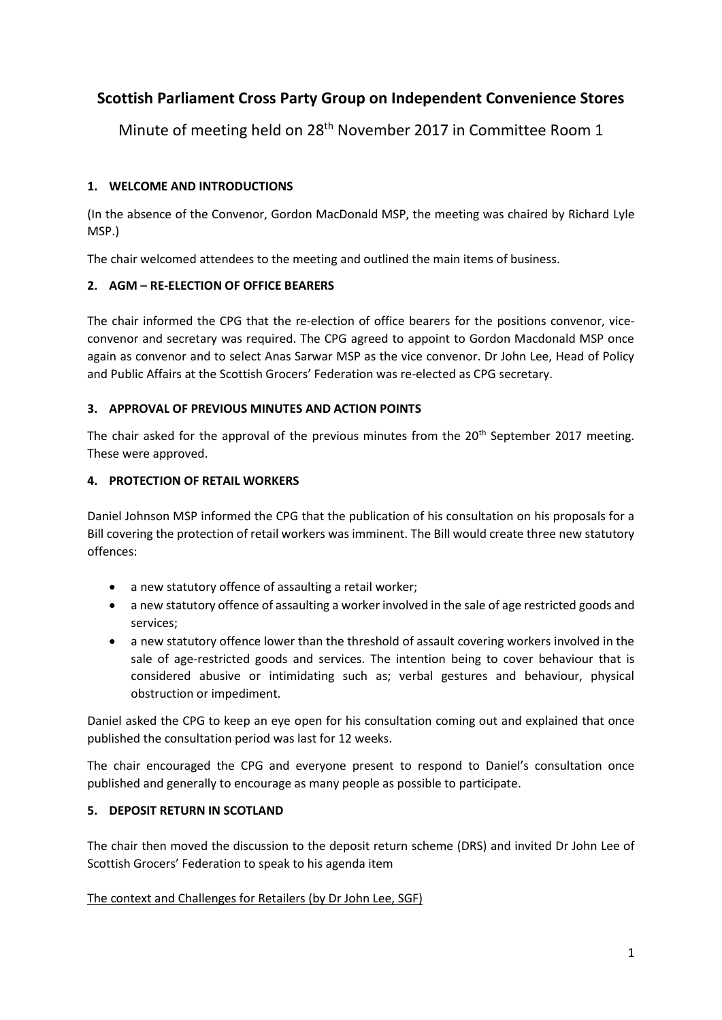# **Scottish Parliament Cross Party Group on Independent Convenience Stores**

Minute of meeting held on 28th November 2017 in Committee Room 1

### **1. WELCOME AND INTRODUCTIONS**

(In the absence of the Convenor, Gordon MacDonald MSP, the meeting was chaired by Richard Lyle MSP.)

The chair welcomed attendees to the meeting and outlined the main items of business.

### **2. AGM – RE-ELECTION OF OFFICE BEARERS**

The chair informed the CPG that the re-election of office bearers for the positions convenor, viceconvenor and secretary was required. The CPG agreed to appoint to Gordon Macdonald MSP once again as convenor and to select Anas Sarwar MSP as the vice convenor. Dr John Lee, Head of Policy and Public Affairs at the Scottish Grocers' Federation was re-elected as CPG secretary.

#### **3. APPROVAL OF PREVIOUS MINUTES AND ACTION POINTS**

The chair asked for the approval of the previous minutes from the 20<sup>th</sup> September 2017 meeting. These were approved.

#### **4. PROTECTION OF RETAIL WORKERS**

Daniel Johnson MSP informed the CPG that the publication of his consultation on his proposals for a Bill covering the protection of retail workers was imminent. The Bill would create three new statutory offences:

- a new statutory offence of assaulting a retail worker;
- a new statutory offence of assaulting a worker involved in the sale of age restricted goods and services;
- a new statutory offence lower than the threshold of assault covering workers involved in the sale of age-restricted goods and services. The intention being to cover behaviour that is considered abusive or intimidating such as; verbal gestures and behaviour, physical obstruction or impediment.

Daniel asked the CPG to keep an eye open for his consultation coming out and explained that once published the consultation period was last for 12 weeks.

The chair encouraged the CPG and everyone present to respond to Daniel's consultation once published and generally to encourage as many people as possible to participate.

### **5. DEPOSIT RETURN IN SCOTLAND**

The chair then moved the discussion to the deposit return scheme (DRS) and invited Dr John Lee of Scottish Grocers' Federation to speak to his agenda item

### The context and Challenges for Retailers (by Dr John Lee, SGF)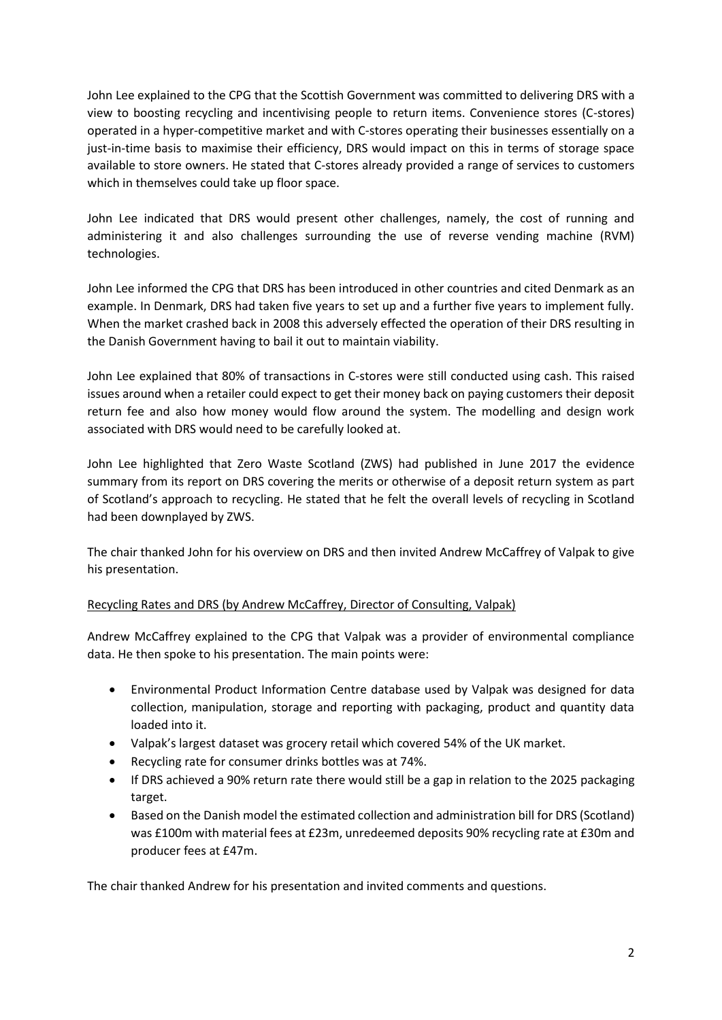John Lee explained to the CPG that the Scottish Government was committed to delivering DRS with a view to boosting recycling and incentivising people to return items. Convenience stores (C-stores) operated in a hyper-competitive market and with C-stores operating their businesses essentially on a just-in-time basis to maximise their efficiency, DRS would impact on this in terms of storage space available to store owners. He stated that C-stores already provided a range of services to customers which in themselves could take up floor space.

John Lee indicated that DRS would present other challenges, namely, the cost of running and administering it and also challenges surrounding the use of reverse vending machine (RVM) technologies.

John Lee informed the CPG that DRS has been introduced in other countries and cited Denmark as an example. In Denmark, DRS had taken five years to set up and a further five years to implement fully. When the market crashed back in 2008 this adversely effected the operation of their DRS resulting in the Danish Government having to bail it out to maintain viability.

John Lee explained that 80% of transactions in C-stores were still conducted using cash. This raised issues around when a retailer could expect to get their money back on paying customers their deposit return fee and also how money would flow around the system. The modelling and design work associated with DRS would need to be carefully looked at.

John Lee highlighted that Zero Waste Scotland (ZWS) had published in June 2017 the evidence summary from its report on DRS covering the merits or otherwise of a deposit return system as part of Scotland's approach to recycling. He stated that he felt the overall levels of recycling in Scotland had been downplayed by ZWS.

The chair thanked John for his overview on DRS and then invited Andrew McCaffrey of Valpak to give his presentation.

#### Recycling Rates and DRS (by Andrew McCaffrey, Director of Consulting, Valpak)

Andrew McCaffrey explained to the CPG that Valpak was a provider of environmental compliance data. He then spoke to his presentation. The main points were:

- Environmental Product Information Centre database used by Valpak was designed for data collection, manipulation, storage and reporting with packaging, product and quantity data loaded into it.
- Valpak's largest dataset was grocery retail which covered 54% of the UK market.
- Recycling rate for consumer drinks bottles was at 74%.
- If DRS achieved a 90% return rate there would still be a gap in relation to the 2025 packaging target.
- Based on the Danish model the estimated collection and administration bill for DRS (Scotland) was £100m with material fees at £23m, unredeemed deposits 90% recycling rate at £30m and producer fees at £47m.

The chair thanked Andrew for his presentation and invited comments and questions.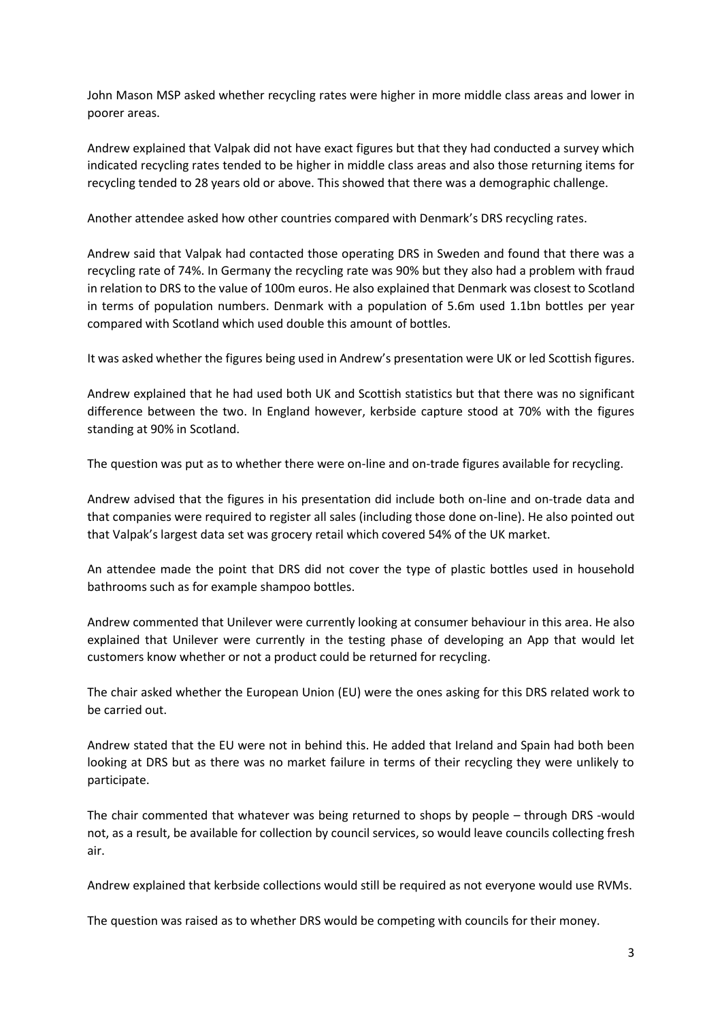John Mason MSP asked whether recycling rates were higher in more middle class areas and lower in poorer areas.

Andrew explained that Valpak did not have exact figures but that they had conducted a survey which indicated recycling rates tended to be higher in middle class areas and also those returning items for recycling tended to 28 years old or above. This showed that there was a demographic challenge.

Another attendee asked how other countries compared with Denmark's DRS recycling rates.

Andrew said that Valpak had contacted those operating DRS in Sweden and found that there was a recycling rate of 74%. In Germany the recycling rate was 90% but they also had a problem with fraud in relation to DRS to the value of 100m euros. He also explained that Denmark was closest to Scotland in terms of population numbers. Denmark with a population of 5.6m used 1.1bn bottles per year compared with Scotland which used double this amount of bottles.

It was asked whether the figures being used in Andrew's presentation were UK or led Scottish figures.

Andrew explained that he had used both UK and Scottish statistics but that there was no significant difference between the two. In England however, kerbside capture stood at 70% with the figures standing at 90% in Scotland.

The question was put as to whether there were on-line and on-trade figures available for recycling.

Andrew advised that the figures in his presentation did include both on-line and on-trade data and that companies were required to register all sales (including those done on-line). He also pointed out that Valpak's largest data set was grocery retail which covered 54% of the UK market.

An attendee made the point that DRS did not cover the type of plastic bottles used in household bathrooms such as for example shampoo bottles.

Andrew commented that Unilever were currently looking at consumer behaviour in this area. He also explained that Unilever were currently in the testing phase of developing an App that would let customers know whether or not a product could be returned for recycling.

The chair asked whether the European Union (EU) were the ones asking for this DRS related work to be carried out.

Andrew stated that the EU were not in behind this. He added that Ireland and Spain had both been looking at DRS but as there was no market failure in terms of their recycling they were unlikely to participate.

The chair commented that whatever was being returned to shops by people – through DRS -would not, as a result, be available for collection by council services, so would leave councils collecting fresh air.

Andrew explained that kerbside collections would still be required as not everyone would use RVMs.

The question was raised as to whether DRS would be competing with councils for their money.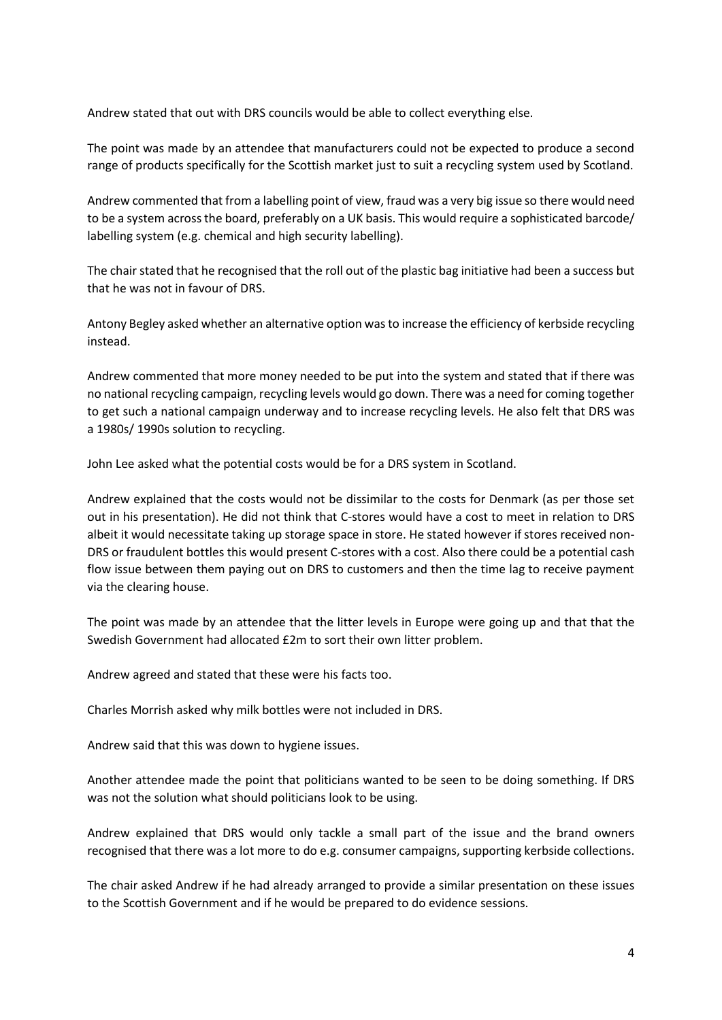Andrew stated that out with DRS councils would be able to collect everything else.

The point was made by an attendee that manufacturers could not be expected to produce a second range of products specifically for the Scottish market just to suit a recycling system used by Scotland.

Andrew commented that from a labelling point of view, fraud was a very big issue so there would need to be a system across the board, preferably on a UK basis. This would require a sophisticated barcode/ labelling system (e.g. chemical and high security labelling).

The chair stated that he recognised that the roll out of the plastic bag initiative had been a success but that he was not in favour of DRS.

Antony Begley asked whether an alternative option was to increase the efficiency of kerbside recycling instead.

Andrew commented that more money needed to be put into the system and stated that if there was no national recycling campaign, recycling levels would go down. There was a need for coming together to get such a national campaign underway and to increase recycling levels. He also felt that DRS was a 1980s/ 1990s solution to recycling.

John Lee asked what the potential costs would be for a DRS system in Scotland.

Andrew explained that the costs would not be dissimilar to the costs for Denmark (as per those set out in his presentation). He did not think that C-stores would have a cost to meet in relation to DRS albeit it would necessitate taking up storage space in store. He stated however if stores received non-DRS or fraudulent bottles this would present C-stores with a cost. Also there could be a potential cash flow issue between them paying out on DRS to customers and then the time lag to receive payment via the clearing house.

The point was made by an attendee that the litter levels in Europe were going up and that that the Swedish Government had allocated £2m to sort their own litter problem.

Andrew agreed and stated that these were his facts too.

Charles Morrish asked why milk bottles were not included in DRS.

Andrew said that this was down to hygiene issues.

Another attendee made the point that politicians wanted to be seen to be doing something. If DRS was not the solution what should politicians look to be using.

Andrew explained that DRS would only tackle a small part of the issue and the brand owners recognised that there was a lot more to do e.g. consumer campaigns, supporting kerbside collections.

The chair asked Andrew if he had already arranged to provide a similar presentation on these issues to the Scottish Government and if he would be prepared to do evidence sessions.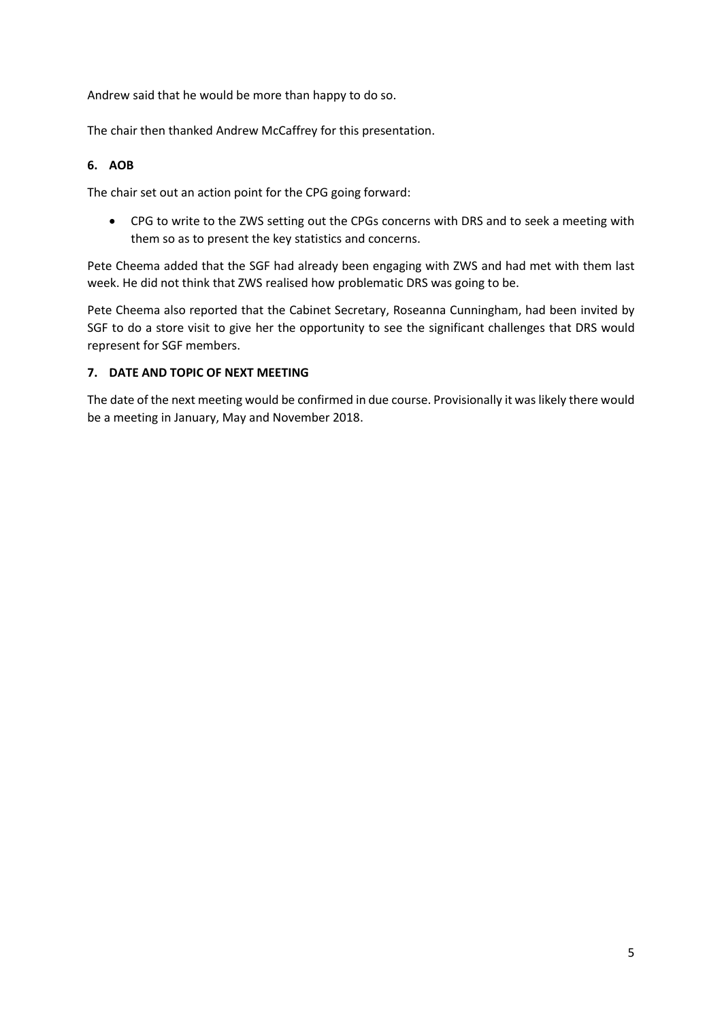Andrew said that he would be more than happy to do so.

The chair then thanked Andrew McCaffrey for this presentation.

#### **6. AOB**

The chair set out an action point for the CPG going forward:

 CPG to write to the ZWS setting out the CPGs concerns with DRS and to seek a meeting with them so as to present the key statistics and concerns.

Pete Cheema added that the SGF had already been engaging with ZWS and had met with them last week. He did not think that ZWS realised how problematic DRS was going to be.

Pete Cheema also reported that the Cabinet Secretary, Roseanna Cunningham, had been invited by SGF to do a store visit to give her the opportunity to see the significant challenges that DRS would represent for SGF members.

#### **7. DATE AND TOPIC OF NEXT MEETING**

The date of the next meeting would be confirmed in due course. Provisionally it was likely there would be a meeting in January, May and November 2018.